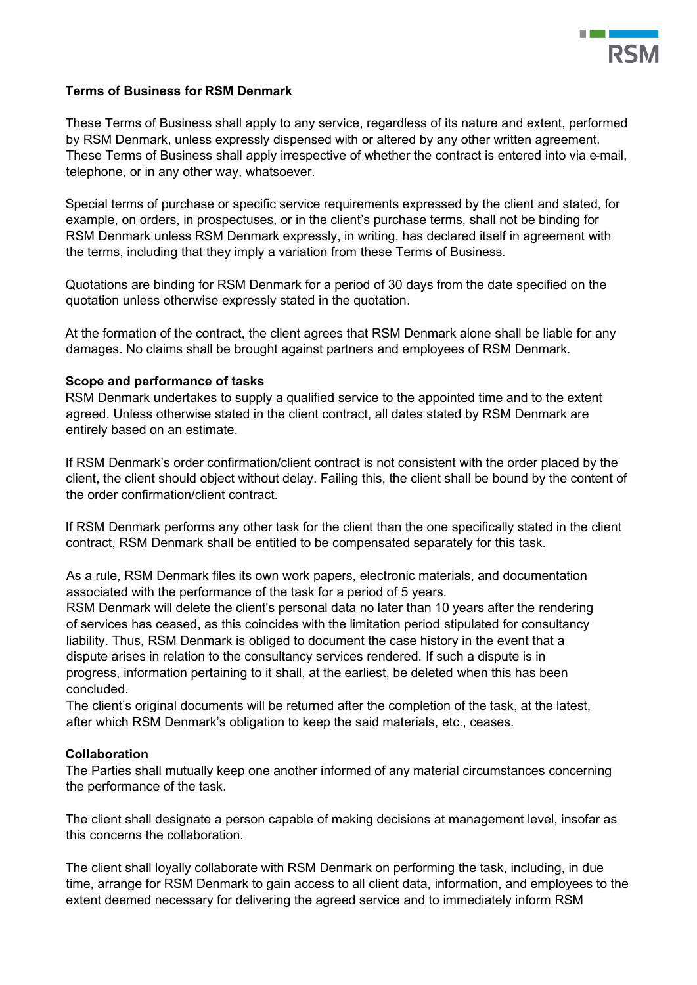

# **Terms of Business for RSM Denmark**

These Terms of Business shall apply to any service, regardless of its nature and extent, performed by RSM Denmark, unless expressly dispensed with or altered by any other written agreement. These Terms of Business shall apply irrespective of whether the contract is entered into via e-mail, telephone, or in any other way, whatsoever.

Special terms of purchase or specific service requirements expressed by the client and stated, for example, on orders, in prospectuses, or in the client's purchase terms, shall not be binding for RSM Denmark unless RSM Denmark expressly, in writing, has declared itself in agreement with the terms, including that they imply a variation from these Terms of Business.

Quotations are binding for RSM Denmark for a period of 30 days from the date specified on the quotation unless otherwise expressly stated in the quotation.

At the formation of the contract, the client agrees that RSM Denmark alone shall be liable for any damages. No claims shall be brought against partners and employees of RSM Denmark.

### **Scope and performance of tasks**

RSM Denmark undertakes to supply a qualified service to the appointed time and to the extent agreed. Unless otherwise stated in the client contract, all dates stated by RSM Denmark are entirely based on an estimate.

If RSM Denmark's order confirmation/client contract is not consistent with the order placed by the client, the client should object without delay. Failing this, the client shall be bound by the content of the order confirmation/client contract.

If RSM Denmark performs any other task for the client than the one specifically stated in the client contract, RSM Denmark shall be entitled to be compensated separately for this task.

As a rule, RSM Denmark files its own work papers, electronic materials, and documentation associated with the performance of the task for a period of 5 years.

RSM Denmark will delete the client's personal data no later than 10 years after the rendering of services has ceased, as this coincides with the limitation period stipulated for consultancy liability. Thus, RSM Denmark is obliged to document the case history in the event that a dispute arises in relation to the consultancy services rendered. If such a dispute is in progress, information pertaining to it shall, at the earliest, be deleted when this has been concluded.

The client's original documents will be returned after the completion of the task, at the latest, after which RSM Denmark's obligation to keep the said materials, etc., ceases.

# **Collaboration**

The Parties shall mutually keep one another informed of any material circumstances concerning the performance of the task.

The client shall designate a person capable of making decisions at management level, insofar as this concerns the collaboration.

The client shall loyally collaborate with RSM Denmark on performing the task, including, in due time, arrange for RSM Denmark to gain access to all client data, information, and employees to the extent deemed necessary for delivering the agreed service and to immediately inform RSM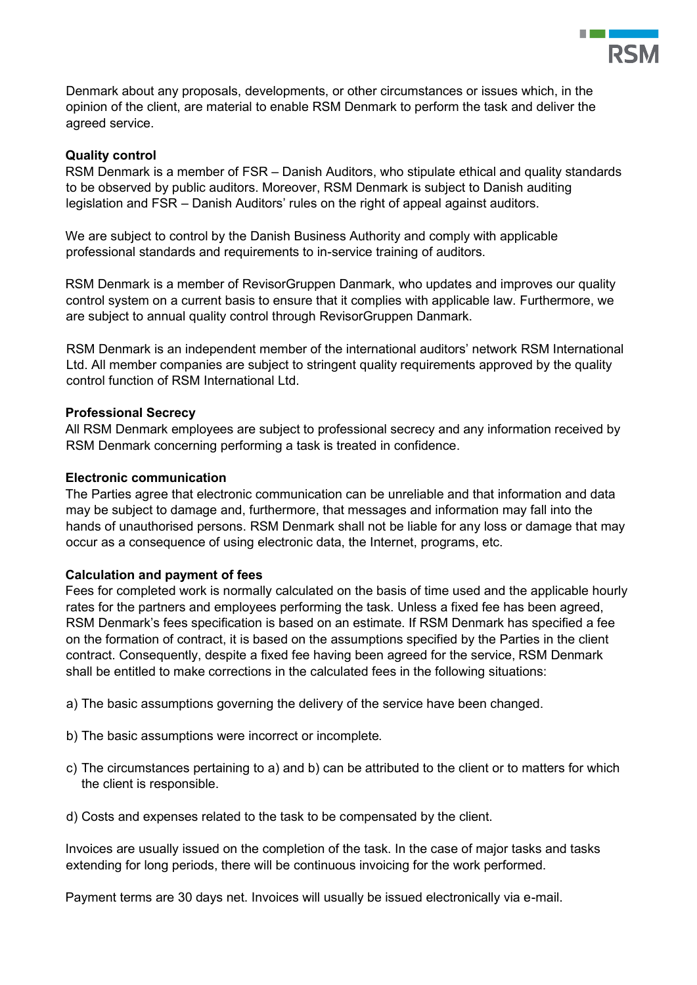

Denmark about any proposals, developments, or other circumstances or issues which, in the opinion of the client, are material to enable RSM Denmark to perform the task and deliver the agreed service.

# **Quality control**

RSM Denmark is a member of FSR – Danish Auditors, who stipulate ethical and quality standards to be observed by public auditors. Moreover, RSM Denmark is subject to Danish auditing legislation and FSR – Danish Auditors' rules on the right of appeal against auditors.

We are subject to control by the Danish Business Authority and comply with applicable professional standards and requirements to in-service training of auditors.

RSM Denmark is a member of RevisorGruppen Danmark, who updates and improves our quality control system on a current basis to ensure that it complies with applicable law. Furthermore, we are subject to annual quality control through RevisorGruppen Danmark.

RSM Denmark is an independent member of the international auditors' network RSM International Ltd. All member companies are subject to stringent quality requirements approved by the quality control function of RSM International Ltd.

# **Professional Secrecy**

All RSM Denmark employees are subject to professional secrecy and any information received by RSM Denmark concerning performing a task is treated in confidence.

### **Electronic communication**

The Parties agree that electronic communication can be unreliable and that information and data may be subject to damage and, furthermore, that messages and information may fall into the hands of unauthorised persons. RSM Denmark shall not be liable for any loss or damage that may occur as a consequence of using electronic data, the Internet, programs, etc.

#### **Calculation and payment of fees**

Fees for completed work is normally calculated on the basis of time used and the applicable hourly rates for the partners and employees performing the task. Unless a fixed fee has been agreed, RSM Denmark's fees specification is based on an estimate. If RSM Denmark has specified a fee on the formation of contract, it is based on the assumptions specified by the Parties in the client contract. Consequently, despite a fixed fee having been agreed for the service, RSM Denmark shall be entitled to make corrections in the calculated fees in the following situations:

- a) The basic assumptions governing the delivery of the service have been changed.
- b) The basic assumptions were incorrect or incomplete.
- c) The circumstances pertaining to a) and b) can be attributed to the client or to matters for which the client is responsible.
- d) Costs and expenses related to the task to be compensated by the client.

Invoices are usually issued on the completion of the task. In the case of major tasks and tasks extending for long periods, there will be continuous invoicing for the work performed.

Payment terms are 30 days net. Invoices will usually be issued electronically via e-mail.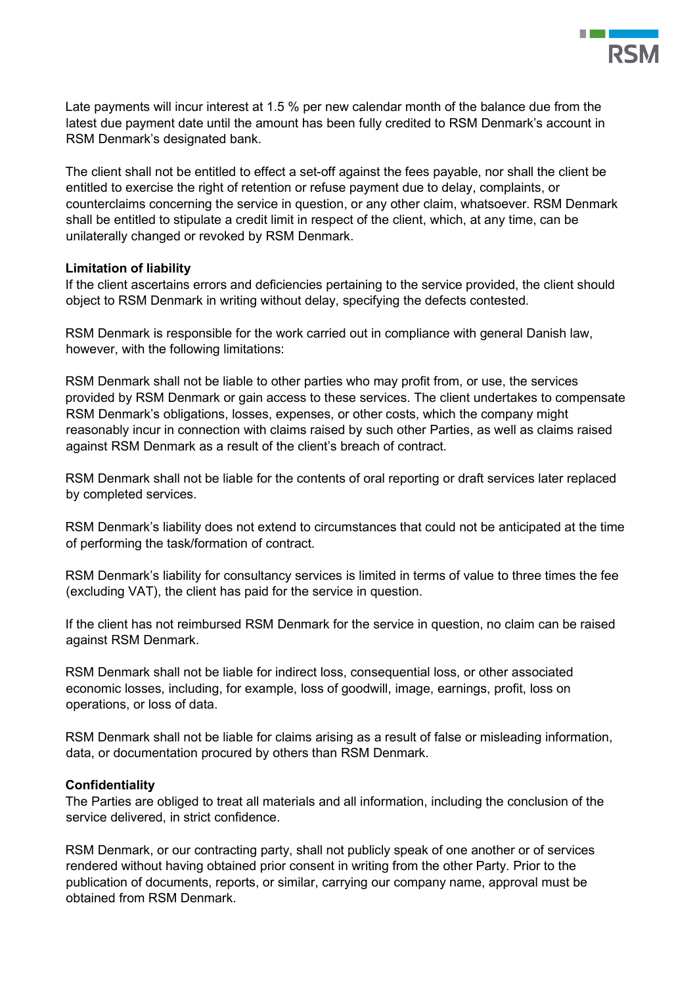

Late payments will incur interest at 1.5 % per new calendar month of the balance due from the latest due payment date until the amount has been fully credited to RSM Denmark's account in RSM Denmark's designated bank.

The client shall not be entitled to effect a set-off against the fees payable, nor shall the client be entitled to exercise the right of retention or refuse payment due to delay, complaints, or counterclaims concerning the service in question, or any other claim, whatsoever. RSM Denmark shall be entitled to stipulate a credit limit in respect of the client, which, at any time, can be unilaterally changed or revoked by RSM Denmark.

### **Limitation of liability**

If the client ascertains errors and deficiencies pertaining to the service provided, the client should object to RSM Denmark in writing without delay, specifying the defects contested.

RSM Denmark is responsible for the work carried out in compliance with general Danish law, however, with the following limitations:

RSM Denmark shall not be liable to other parties who may profit from, or use, the services provided by RSM Denmark or gain access to these services. The client undertakes to compensate RSM Denmark's obligations, losses, expenses, or other costs, which the company might reasonably incur in connection with claims raised by such other Parties, as well as claims raised against RSM Denmark as a result of the client's breach of contract.

RSM Denmark shall not be liable for the contents of oral reporting or draft services later replaced by completed services.

RSM Denmark's liability does not extend to circumstances that could not be anticipated at the time of performing the task/formation of contract.

RSM Denmark's liability for consultancy services is limited in terms of value to three times the fee (excluding VAT), the client has paid for the service in question.

If the client has not reimbursed RSM Denmark for the service in question, no claim can be raised against RSM Denmark.

RSM Denmark shall not be liable for indirect loss, consequential loss, or other associated economic losses, including, for example, loss of goodwill, image, earnings, profit, loss on operations, or loss of data.

RSM Denmark shall not be liable for claims arising as a result of false or misleading information, data, or documentation procured by others than RSM Denmark.

#### **Confidentiality**

The Parties are obliged to treat all materials and all information, including the conclusion of the service delivered, in strict confidence.

RSM Denmark, or our contracting party, shall not publicly speak of one another or of services rendered without having obtained prior consent in writing from the other Party. Prior to the publication of documents, reports, or similar, carrying our company name, approval must be obtained from RSM Denmark.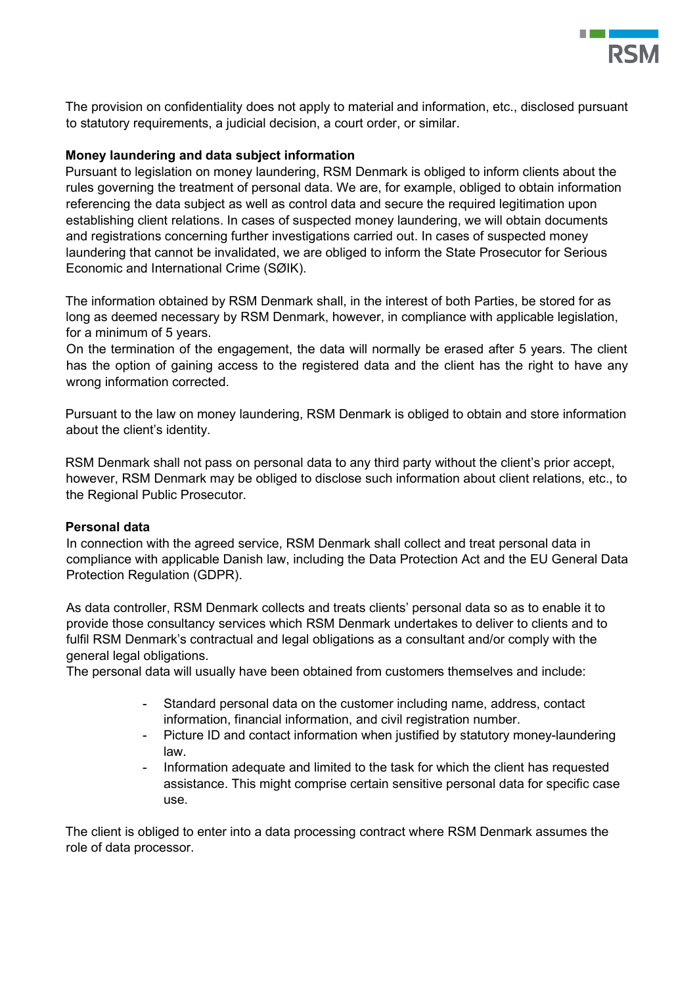

The provision on confidentiality does not apply to material and information, etc., disclosed pursuant to statutory requirements, a judicial decision, a court order, or similar.

# **Money laundering and data subject information**

Pursuant to legislation on money laundering, RSM Denmark is obliged to inform clients about the rules governing the treatment of personal data. We are, for example, obliged to obtain information referencing the data subject as well as control data and secure the required legitimation upon establishing client relations. In cases of suspected money laundering, we will obtain documents and registrations concerning further investigations carried out. In cases of suspected money laundering that cannot be invalidated, we are obliged to inform the State Prosecutor for Serious Economic and International Crime (SØIK).

The information obtained by RSM Denmark shall, in the interest of both Parties, be stored for as long as deemed necessary by RSM Denmark, however, in compliance with applicable legislation, for a minimum of 5 years.

On the termination of the engagement, the data will normally be erased after 5 years. The client has the option of gaining access to the registered data and the client has the right to have any wrong information corrected.

Pursuant to the law on money laundering, RSM Denmark is obliged to obtain and store information about the client's identity.

RSM Denmark shall not pass on personal data to any third party without the client's prior accept, however, RSM Denmark may be obliged to disclose such information about client relations, etc., to the Regional Public Prosecutor.

#### **Personal data**

In connection with the agreed service, RSM Denmark shall collect and treat personal data in compliance with applicable Danish law, including the Data Protection Act and the EU General Data Protection Regulation (GDPR).

As data controller, RSM Denmark collects and treats clients' personal data so as to enable it to provide those consultancy services which RSM Denmark undertakes to deliver to clients and to fulfil RSM Denmark's contractual and legal obligations as a consultant and/or comply with the general legal obligations.

The personal data will usually have been obtained from customers themselves and include:

- Standard personal data on the customer including name, address, contact information, financial information, and civil registration number.
- Picture ID and contact information when justified by statutory money-laundering law.
- Information adequate and limited to the task for which the client has requested assistance. This might comprise certain sensitive personal data for specific case use.

The client is obliged to enter into a data processing contract where RSM Denmark assumes the role of data processor.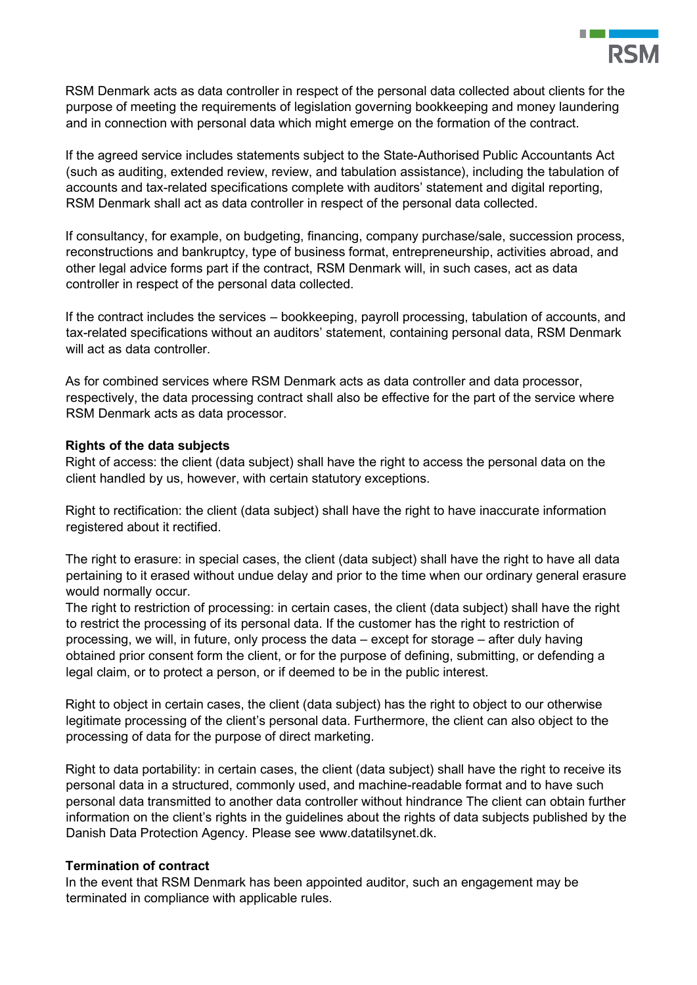

RSM Denmark acts as data controller in respect of the personal data collected about clients for the purpose of meeting the requirements of legislation governing bookkeeping and money laundering and in connection with personal data which might emerge on the formation of the contract.

If the agreed service includes statements subject to the State-Authorised Public Accountants Act (such as auditing, extended review, review, and tabulation assistance), including the tabulation of accounts and tax-related specifications complete with auditors' statement and digital reporting, RSM Denmark shall act as data controller in respect of the personal data collected.

If consultancy, for example, on budgeting, financing, company purchase/sale, succession process, reconstructions and bankruptcy, type of business format, entrepreneurship, activities abroad, and other legal advice forms part if the contract, RSM Denmark will, in such cases, act as data controller in respect of the personal data collected.

If the contract includes the services – bookkeeping, payroll processing, tabulation of accounts, and tax-related specifications without an auditors' statement, containing personal data, RSM Denmark will act as data controller.

As for combined services where RSM Denmark acts as data controller and data processor, respectively, the data processing contract shall also be effective for the part of the service where RSM Denmark acts as data processor.

# **Rights of the data subjects**

Right of access: the client (data subject) shall have the right to access the personal data on the client handled by us, however, with certain statutory exceptions.

Right to rectification: the client (data subject) shall have the right to have inaccurate information registered about it rectified.

The right to erasure: in special cases, the client (data subject) shall have the right to have all data pertaining to it erased without undue delay and prior to the time when our ordinary general erasure would normally occur.

The right to restriction of processing: in certain cases, the client (data subject) shall have the right to restrict the processing of its personal data. If the customer has the right to restriction of processing, we will, in future, only process the data – except for storage – after duly having obtained prior consent form the client, or for the purpose of defining, submitting, or defending a legal claim, or to protect a person, or if deemed to be in the public interest.

Right to object in certain cases, the client (data subject) has the right to object to our otherwise legitimate processing of the client's personal data. Furthermore, the client can also object to the processing of data for the purpose of direct marketing.

Right to data portability: in certain cases, the client (data subject) shall have the right to receive its personal data in a structured, commonly used, and machine-readable format and to have such personal data transmitted to another data controller without hindrance The client can obtain further information on the client's rights in the guidelines about the rights of data subjects published by the Danish Data Protection Agency. Please see <www.datatilsynet.dk>.

# **Termination of contract**

In the event that RSM Denmark has been appointed auditor, such an engagement may be terminated in compliance with applicable rules.